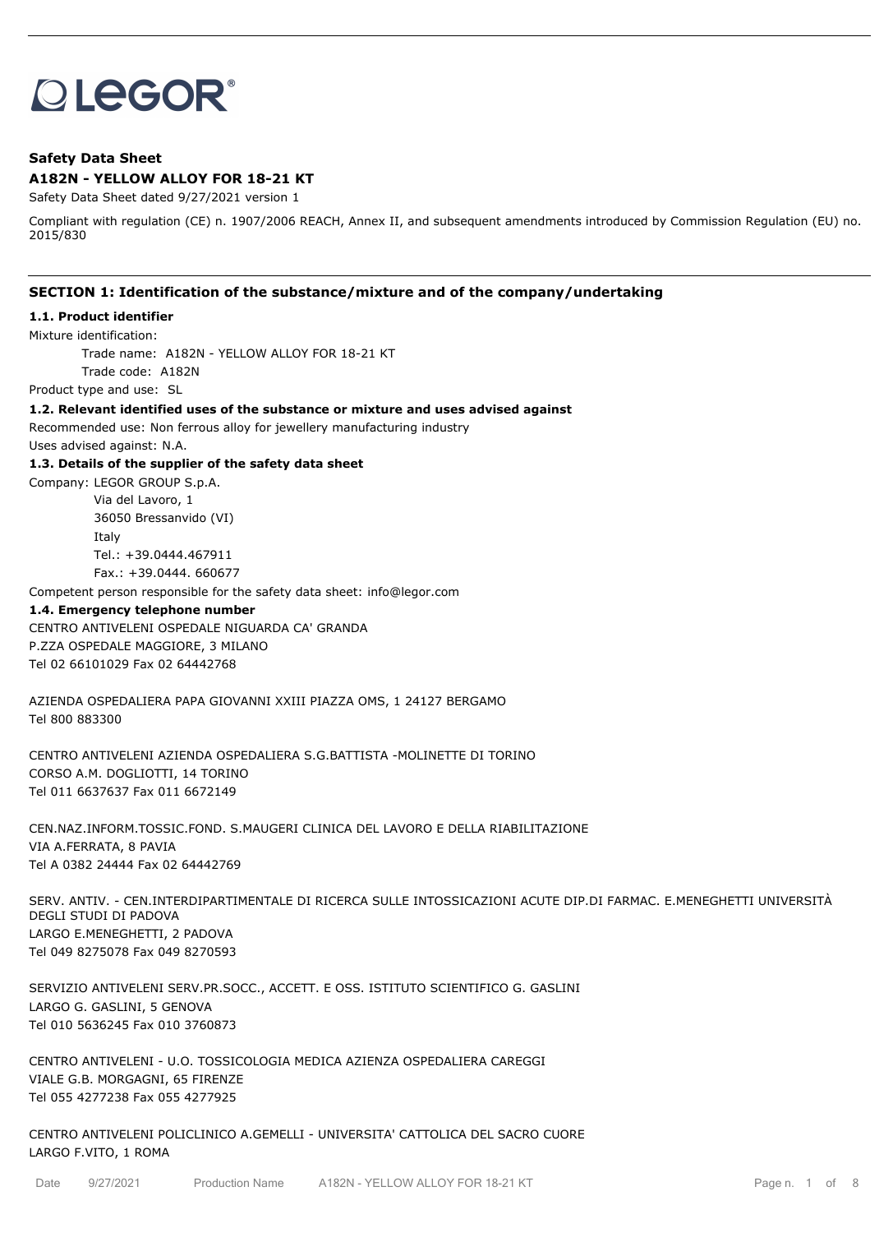# **OLEGOR®**

# **Safety Data Sheet A182N - YELLOW ALLOY FOR 18-21 KT**

Safety Data Sheet dated 9/27/2021 version 1

Compliant with regulation (CE) n. 1907/2006 REACH, Annex II, and subsequent amendments introduced by Commission Regulation (EU) no. 2015/830

## **SECTION 1: Identification of the substance/mixture and of the company/undertaking**

#### **1.1. Product identifier**

Mixture identification:

Trade name: A182N - YELLOW ALLOY FOR 18-21 KT Trade code: A182N

Product type and use: SL

**1.2. Relevant identified uses of the substance or mixture and uses advised against**

Recommended use: Non ferrous alloy for jewellery manufacturing industry

Uses advised against: N.A.

**1.3. Details of the supplier of the safety data sheet**

Company: LEGOR GROUP S.p.A. Via del Lavoro, 1 36050 Bressanvido (VI) Italy Tel.: +39.0444.467911 Fax.: +39.0444. 660677

Competent person responsible for the safety data sheet: info@legor.com

### **1.4. Emergency telephone number**

CENTRO ANTIVELENI OSPEDALE NIGUARDA CA' GRANDA P.ZZA OSPEDALE MAGGIORE, 3 MILANO Tel 02 66101029 Fax 02 64442768

AZIENDA OSPEDALIERA PAPA GIOVANNI XXIII PIAZZA OMS, 1 24127 BERGAMO Tel 800 883300

CENTRO ANTIVELENI AZIENDA OSPEDALIERA S.G.BATTISTA -MOLINETTE DI TORINO CORSO A.M. DOGLIOTTI, 14 TORINO Tel 011 6637637 Fax 011 6672149

CEN.NAZ.INFORM.TOSSIC.FOND. S.MAUGERI CLINICA DEL LAVORO E DELLA RIABILITAZIONE VIA A.FERRATA, 8 PAVIA Tel A 0382 24444 Fax 02 64442769

SERV. ANTIV. - CEN.INTERDIPARTIMENTALE DI RICERCA SULLE INTOSSICAZIONI ACUTE DIP.DI FARMAC. E.MENEGHETTI UNIVERSITÀ DEGLI STUDI DI PADOVA LARGO E.MENEGHETTI, 2 PADOVA Tel 049 8275078 Fax 049 8270593

SERVIZIO ANTIVELENI SERV.PR.SOCC., ACCETT. E OSS. ISTITUTO SCIENTIFICO G. GASLINI LARGO G. GASLINI, 5 GENOVA Tel 010 5636245 Fax 010 3760873

CENTRO ANTIVELENI - U.O. TOSSICOLOGIA MEDICA AZIENZA OSPEDALIERA CAREGGI VIALE G.B. MORGAGNI, 65 FIRENZE Tel 055 4277238 Fax 055 4277925

CENTRO ANTIVELENI POLICLINICO A.GEMELLI - UNIVERSITA' CATTOLICA DEL SACRO CUORE LARGO F.VITO, 1 ROMA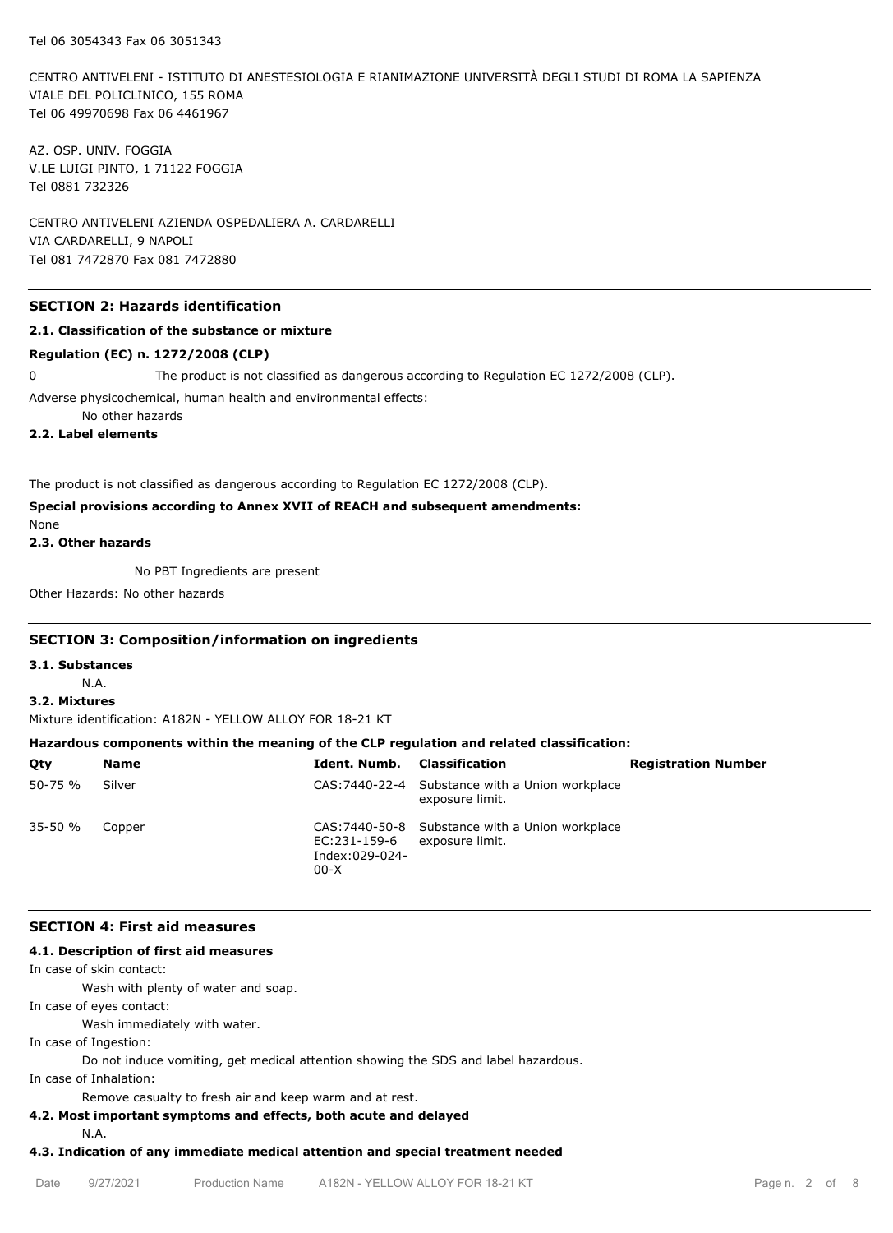CENTRO ANTIVELENI - ISTITUTO DI ANESTESIOLOGIA E RIANIMAZIONE UNIVERSITÀ DEGLI STUDI DI ROMA LA SAPIENZA VIALE DEL POLICLINICO, 155 ROMA Tel 06 49970698 Fax 06 4461967

AZ. OSP. UNIV. FOGGIA V.LE LUIGI PINTO, 1 71122 FOGGIA Tel 0881 732326

CENTRO ANTIVELENI AZIENDA OSPEDALIERA A. CARDARELLI VIA CARDARELLI, 9 NAPOLI Tel 081 7472870 Fax 081 7472880

# **SECTION 2: Hazards identification**

## **2.1. Classification of the substance or mixture**

#### **Regulation (EC) n. 1272/2008 (CLP)**

0 The product is not classified as dangerous according to Regulation EC 1272/2008 (CLP).

Adverse physicochemical, human health and environmental effects:

No other hazards

**2.2. Label elements**

The product is not classified as dangerous according to Regulation EC 1272/2008 (CLP).

# **Special provisions according to Annex XVII of REACH and subsequent amendments:**

None

**2.3. Other hazards**

No PBT Ingredients are present

Other Hazards: No other hazards

## **SECTION 3: Composition/information on ingredients**

**3.1. Substances**

N.A.

# **3.2. Mixtures**

Mixture identification: A182N - YELLOW ALLOY FOR 18-21 KT

## **Hazardous components within the meaning of the CLP regulation and related classification:**

| Qty         | <b>Name</b> | <b>Ident. Numb.</b> Classification       |                                                                    | <b>Registration Number</b> |
|-------------|-------------|------------------------------------------|--------------------------------------------------------------------|----------------------------|
| $50 - 75 %$ | Silver      |                                          | CAS: 7440-22-4 Substance with a Union workplace<br>exposure limit. |                            |
| $35 - 50 %$ | Copper      | EC:231-159-6<br>Index:029-024-<br>$00-X$ | CAS: 7440-50-8 Substance with a Union workplace<br>exposure limit. |                            |

## **SECTION 4: First aid measures**

## **4.1. Description of first aid measures**

In case of skin contact:

Wash with plenty of water and soap.

In case of eyes contact:

Wash immediately with water.

In case of Ingestion:

Do not induce vomiting, get medical attention showing the SDS and label hazardous.

In case of Inhalation:

Remove casualty to fresh air and keep warm and at rest.

# **4.2. Most important symptoms and effects, both acute and delayed**

N.A.

## **4.3. Indication of any immediate medical attention and special treatment needed**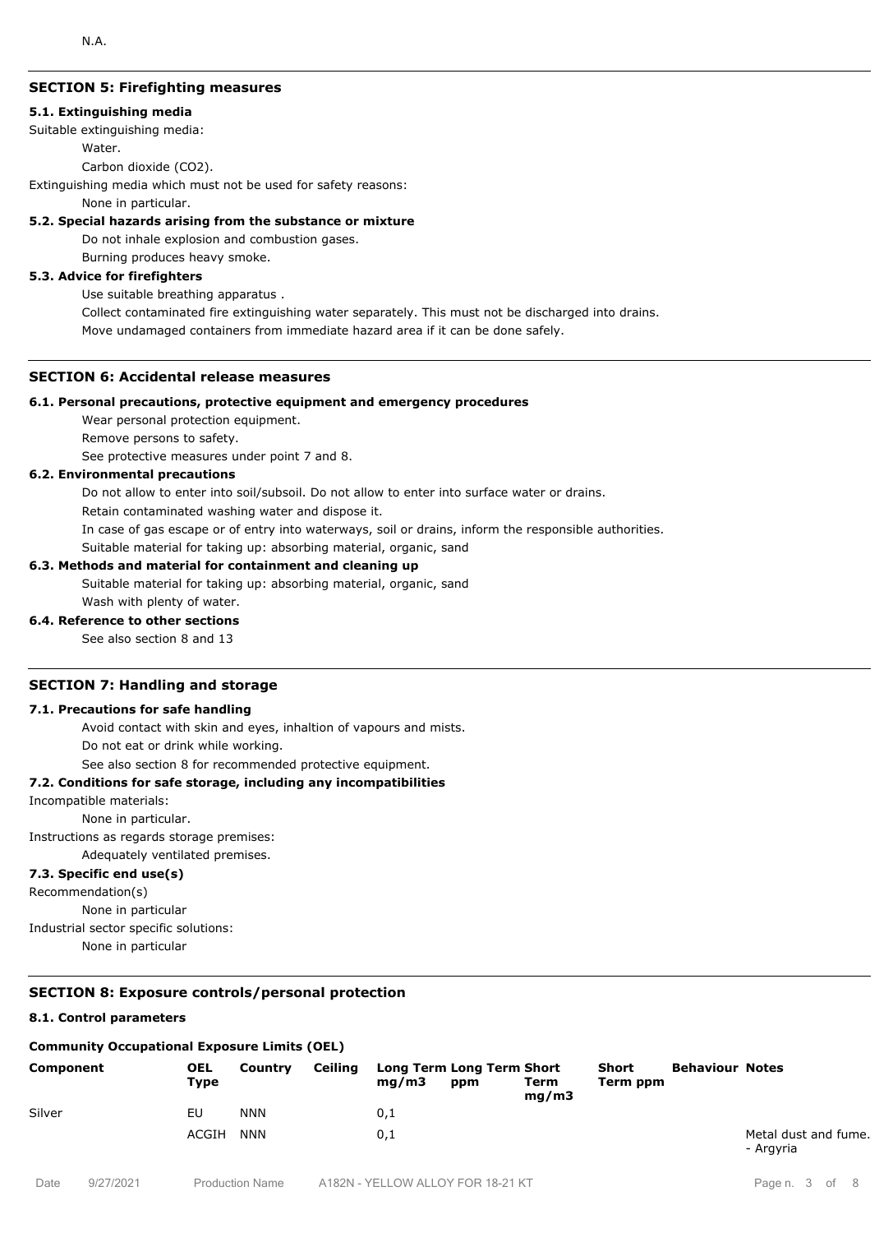# **SECTION 5: Firefighting measures**

#### **5.1. Extinguishing media**

Suitable extinguishing media:

Water.

Carbon dioxide (CO2).

Extinguishing media which must not be used for safety reasons:

None in particular.

#### **5.2. Special hazards arising from the substance or mixture**

Do not inhale explosion and combustion gases.

Burning produces heavy smoke.

## **5.3. Advice for firefighters**

Use suitable breathing apparatus .

Collect contaminated fire extinguishing water separately. This must not be discharged into drains. Move undamaged containers from immediate hazard area if it can be done safely.

## **SECTION 6: Accidental release measures**

#### **6.1. Personal precautions, protective equipment and emergency procedures**

Wear personal protection equipment.

Remove persons to safety.

See protective measures under point 7 and 8.

## **6.2. Environmental precautions**

Do not allow to enter into soil/subsoil. Do not allow to enter into surface water or drains.

Retain contaminated washing water and dispose it.

In case of gas escape or of entry into waterways, soil or drains, inform the responsible authorities.

Suitable material for taking up: absorbing material, organic, sand

## **6.3. Methods and material for containment and cleaning up**

Suitable material for taking up: absorbing material, organic, sand Wash with plenty of water.

## **6.4. Reference to other sections**

See also section 8 and 13

## **SECTION 7: Handling and storage**

## **7.1. Precautions for safe handling**

Avoid contact with skin and eyes, inhaltion of vapours and mists.

Do not eat or drink while working.

See also section 8 for recommended protective equipment.

## **7.2. Conditions for safe storage, including any incompatibilities**

Incompatible materials:

None in particular.

Instructions as regards storage premises:

Adequately ventilated premises.

# **7.3. Specific end use(s)**

Recommendation(s)

None in particular

Industrial sector specific solutions:

None in particular

# **SECTION 8: Exposure controls/personal protection**

## **8.1. Control parameters**

## **Community Occupational Exposure Limits (OEL)**

| Component | <b>OEL</b><br>Type | Country    | Ceiling | mq/m3 | Long Term Long Term Short<br>ppm | Term<br>mq/m3 | Short<br>Term ppm | <b>Behaviour Notes</b> |                                   |
|-----------|--------------------|------------|---------|-------|----------------------------------|---------------|-------------------|------------------------|-----------------------------------|
| Silver    | EU                 | <b>NNN</b> |         | 0,1   |                                  |               |                   |                        |                                   |
|           | ACGIH              | NNN        |         | 0,1   |                                  |               |                   |                        | Metal dust and fume.<br>- Argyria |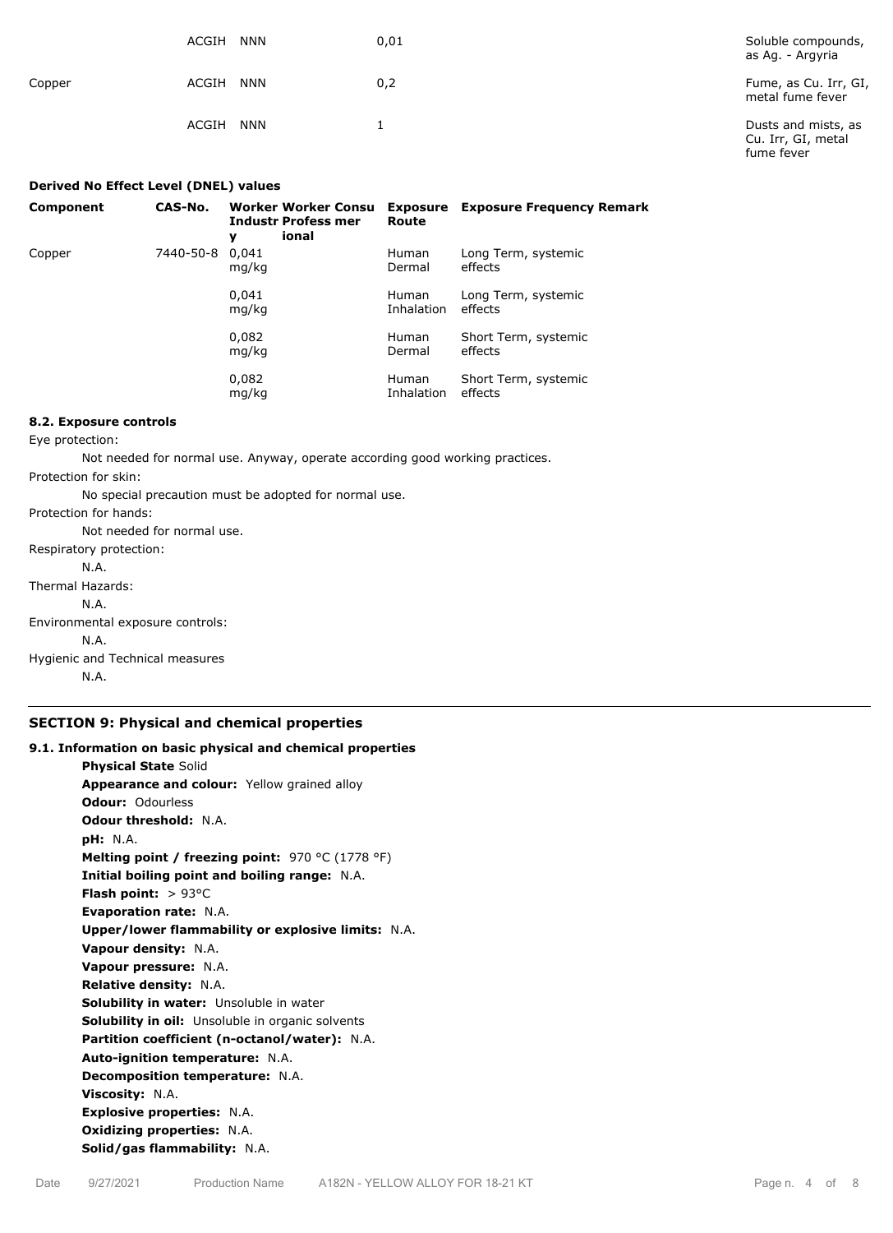|        | ACGIH<br><b>NNN</b> | 0,01 | Soluble compounds,<br>as Ag. - Argyria                  |
|--------|---------------------|------|---------------------------------------------------------|
| Copper | <b>NNN</b><br>ACGIH | 0,2  | Fume, as Cu. Irr, GI,<br>metal fume fever               |
|        | <b>NNN</b><br>ACGIH |      | Dusts and mists, as<br>Cu. Irr, GI, metal<br>fume fever |

| Derived No Effect Level (DNEL) values |           |                                                                        |                            |                                  |
|---------------------------------------|-----------|------------------------------------------------------------------------|----------------------------|----------------------------------|
| Component                             | CAS-No.   | <b>Worker Worker Consu</b><br><b>Industr Profess mer</b><br>ional<br>y | Exposure<br>Route          | <b>Exposure Frequency Remark</b> |
| Copper                                | 7440-50-8 | 0.041<br>mg/kg                                                         | <b>Human</b><br>Dermal     | Long Term, systemic<br>effects   |
|                                       |           | 0,041<br>mg/kg                                                         | <b>Human</b><br>Inhalation | Long Term, systemic<br>effects   |
|                                       |           | 0,082<br>mg/kg                                                         | <b>Human</b><br>Dermal     | Short Term, systemic<br>effects  |
|                                       |           | 0,082<br>mg/kg                                                         | <b>Human</b><br>Inhalation | Short Term, systemic<br>effects  |

# **8.2. Exposure controls**

Eye protection:

Not needed for normal use. Anyway, operate according good working practices.

Protection for skin:

No special precaution must be adopted for normal use.

Protection for hands:

Not needed for normal use. Respiratory protection:

N.A.

Thermal Hazards:

N.A.

Environmental exposure controls:

N.A.

Hygienic and Technical measures

N.A.

# **SECTION 9: Physical and chemical properties**

| 9.1. Information on basic physical and chemical properties |  |  |  |  |  |
|------------------------------------------------------------|--|--|--|--|--|
| <b>Physical State Solid</b>                                |  |  |  |  |  |
| Appearance and colour: Yellow grained alloy                |  |  |  |  |  |
| Odour: Odourless                                           |  |  |  |  |  |
| <b>Odour threshold: N.A.</b>                               |  |  |  |  |  |
| <b>pH:</b> N.A.                                            |  |  |  |  |  |
| Melting point / freezing point: $970 °C (1778 °F)$         |  |  |  |  |  |
| Initial boiling point and boiling range: N.A.              |  |  |  |  |  |
| <b>Flash point:</b> $> 93^{\circ}$ C                       |  |  |  |  |  |
| <b>Evaporation rate: N.A.</b>                              |  |  |  |  |  |
| Upper/lower flammability or explosive limits: N.A.         |  |  |  |  |  |
| Vapour density: N.A.                                       |  |  |  |  |  |
| Vapour pressure: N.A.                                      |  |  |  |  |  |
| <b>Relative density: N.A.</b>                              |  |  |  |  |  |
| Solubility in water: Unsoluble in water                    |  |  |  |  |  |
| <b>Solubility in oil:</b> Unsoluble in organic solvents    |  |  |  |  |  |
| Partition coefficient (n-octanol/water): N.A.              |  |  |  |  |  |
| Auto-ignition temperature: N.A.                            |  |  |  |  |  |
| Decomposition temperature: N.A.                            |  |  |  |  |  |
| Viscosity: N.A.                                            |  |  |  |  |  |
| <b>Explosive properties: N.A.</b>                          |  |  |  |  |  |
| <b>Oxidizing properties: N.A.</b>                          |  |  |  |  |  |
| Solid/gas flammability: N.A.                               |  |  |  |  |  |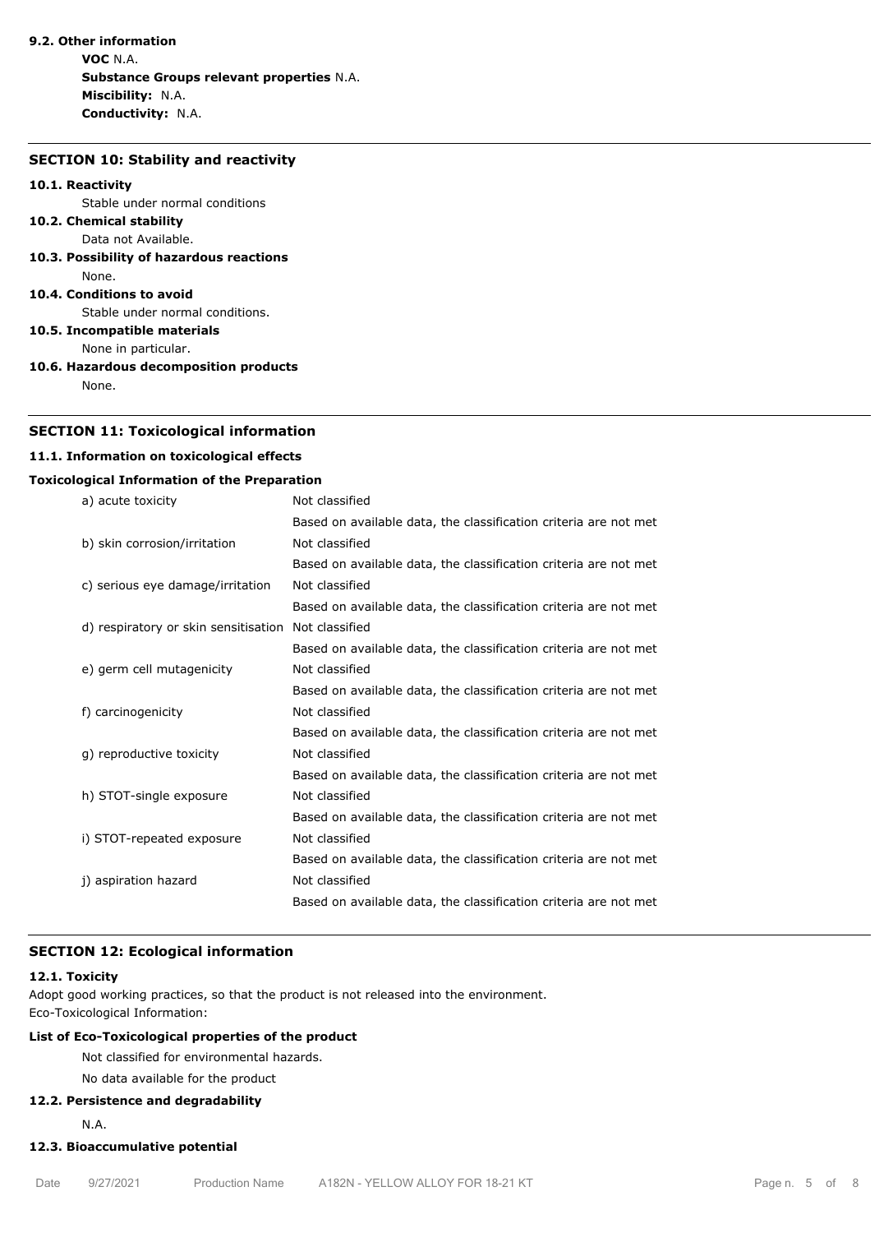# **9.2. Other information**

**VOC** N.A. **Substance Groups relevant properties** N.A. **Miscibility:** N.A. **Conductivity:** N.A.

### **SECTION 10: Stability and reactivity**

#### **10.1. Reactivity**

Stable under normal conditions

#### **10.2. Chemical stability** Data not Available.

**10.3. Possibility of hazardous reactions** None.

#### **10.4. Conditions to avoid**

Stable under normal conditions.

**10.5. Incompatible materials**

None in particular.

**10.6. Hazardous decomposition products**

None.

## **SECTION 11: Toxicological information**

## **11.1. Information on toxicological effects**

## **Toxicological Information of the Preparation**

| a) acute toxicity                    | Not classified                                                   |
|--------------------------------------|------------------------------------------------------------------|
|                                      | Based on available data, the classification criteria are not met |
| b) skin corrosion/irritation         | Not classified                                                   |
|                                      | Based on available data, the classification criteria are not met |
| c) serious eye damage/irritation     | Not classified                                                   |
|                                      | Based on available data, the classification criteria are not met |
| d) respiratory or skin sensitisation | Not classified                                                   |
|                                      | Based on available data, the classification criteria are not met |
| e) germ cell mutagenicity            | Not classified                                                   |
|                                      | Based on available data, the classification criteria are not met |
| f) carcinogenicity                   | Not classified                                                   |
|                                      | Based on available data, the classification criteria are not met |
| q) reproductive toxicity             | Not classified                                                   |
|                                      | Based on available data, the classification criteria are not met |
| h) STOT-single exposure              | Not classified                                                   |
|                                      | Based on available data, the classification criteria are not met |
| i) STOT-repeated exposure            | Not classified                                                   |
|                                      | Based on available data, the classification criteria are not met |
| j) aspiration hazard                 | Not classified                                                   |
|                                      | Based on available data, the classification criteria are not met |

## **SECTION 12: Ecological information**

#### **12.1. Toxicity**

Adopt good working practices, so that the product is not released into the environment. Eco-Toxicological Information:

# **List of Eco-Toxicological properties of the product**

Not classified for environmental hazards.

No data available for the product

#### **12.2. Persistence and degradability**

N.A.

# **12.3. Bioaccumulative potential**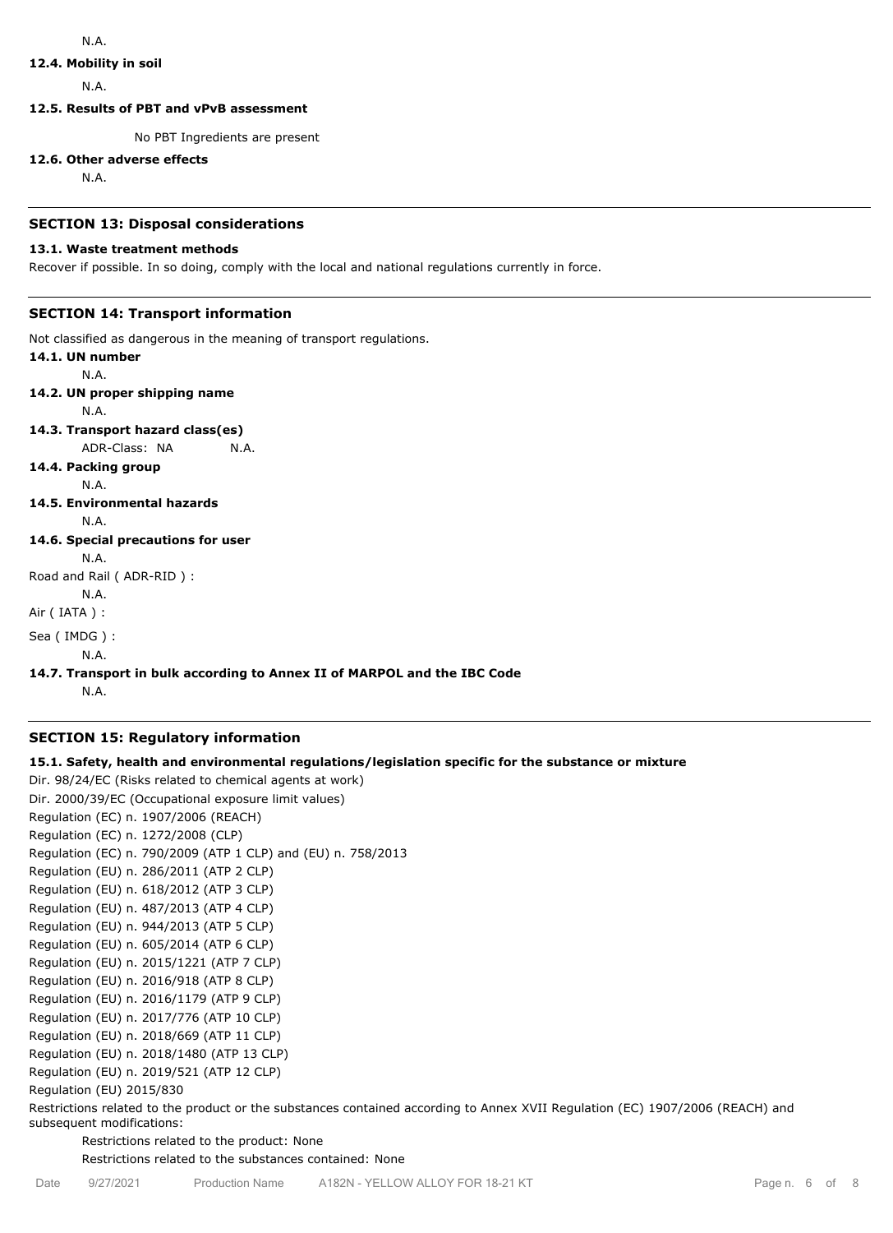## **12.4. Mobility in soil**

N.A.

**12.5. Results of PBT and vPvB assessment**

No PBT Ingredients are present

## **12.6. Other adverse effects**

N.A.

## **SECTION 13: Disposal considerations**

## **13.1. Waste treatment methods**

Recover if possible. In so doing, comply with the local and national regulations currently in force.

# **SECTION 14: Transport information**

Not classified as dangerous in the meaning of transport regulations.

**14.1. UN number** N.A. **14.2. UN proper shipping name** N.A. **14.3. Transport hazard class(es)** ADR-Class: NA N.A. **14.4. Packing group** N.A. **14.5. Environmental hazards** N.A. **14.6. Special precautions for user** N.A. Road and Rail ( ADR-RID ) : N.A. Air ( IATA ) : Sea ( IMDG ) : N.A.

# **14.7. Transport in bulk according to Annex II of MARPOL and the IBC Code**

N.A.

# **SECTION 15: Regulatory information**

# **15.1. Safety, health and environmental regulations/legislation specific for the substance or mixture**

Dir. 98/24/EC (Risks related to chemical agents at work) Dir. 2000/39/EC (Occupational exposure limit values) Regulation (EC) n. 1907/2006 (REACH) Regulation (EC) n. 1272/2008 (CLP) Regulation (EC) n. 790/2009 (ATP 1 CLP) and (EU) n. 758/2013 Regulation (EU) n. 286/2011 (ATP 2 CLP) Regulation (EU) n. 618/2012 (ATP 3 CLP) Regulation (EU) n. 487/2013 (ATP 4 CLP) Regulation (EU) n. 944/2013 (ATP 5 CLP) Regulation (EU) n. 605/2014 (ATP 6 CLP) Regulation (EU) n. 2015/1221 (ATP 7 CLP) Regulation (EU) n. 2016/918 (ATP 8 CLP) Regulation (EU) n. 2016/1179 (ATP 9 CLP) Regulation (EU) n. 2017/776 (ATP 10 CLP) Regulation (EU) n. 2018/669 (ATP 11 CLP) Regulation (EU) n. 2018/1480 (ATP 13 CLP) Regulation (EU) n. 2019/521 (ATP 12 CLP) Regulation (EU) 2015/830

Restrictions related to the product or the substances contained according to Annex XVII Regulation (EC) 1907/2006 (REACH) and subsequent modifications:

Restrictions related to the product: None

Restrictions related to the substances contained: None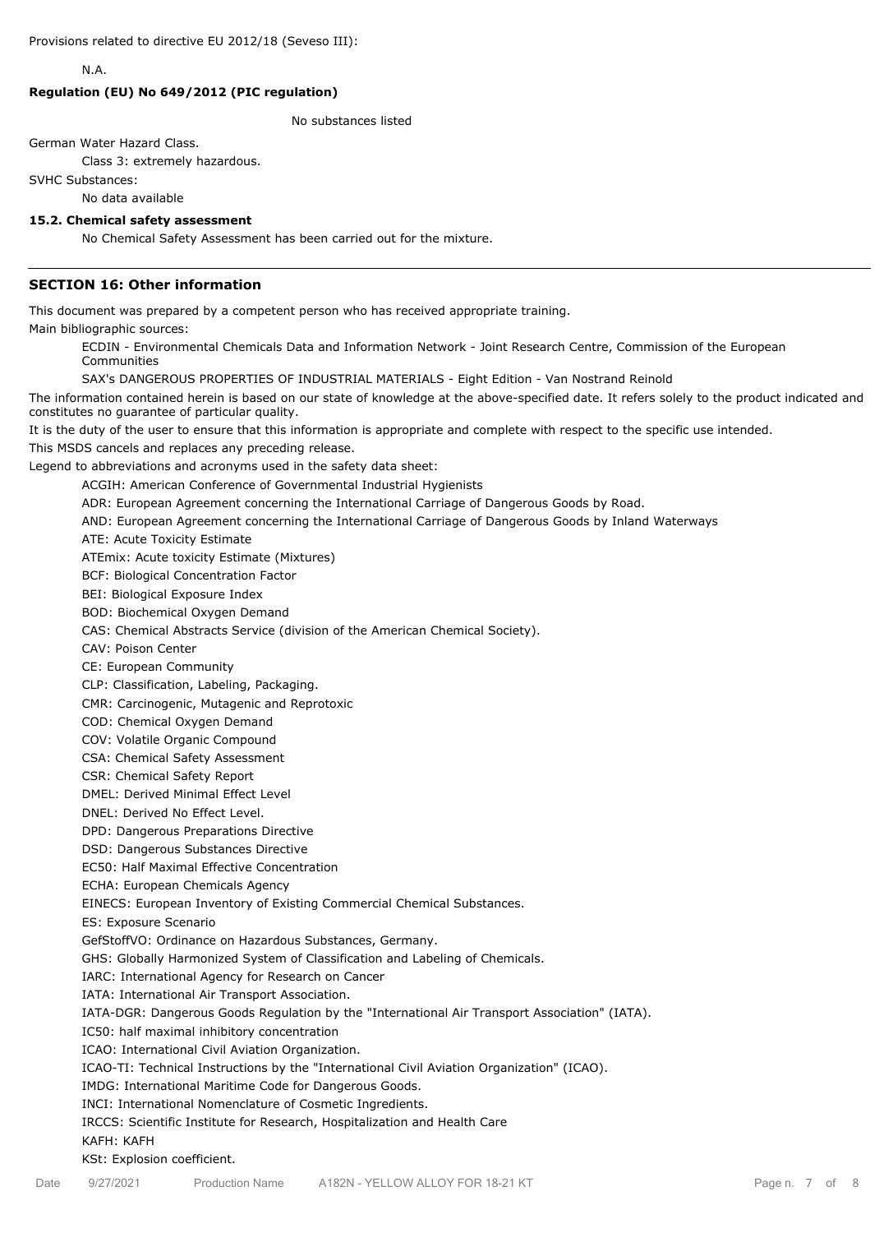N.A.

## **Regulation (EU) No 649/2012 (PIC regulation)**

No substances listed

German Water Hazard Class.

Class 3: extremely hazardous.

SVHC Substances:

No data available

#### **15.2. Chemical safety assessment**

No Chemical Safety Assessment has been carried out for the mixture.

## **SECTION 16: Other information**

This document was prepared by a competent person who has received appropriate training.

Main bibliographic sources:

ECDIN - Environmental Chemicals Data and Information Network - Joint Research Centre, Commission of the European Communities

SAX's DANGEROUS PROPERTIES OF INDUSTRIAL MATERIALS - Eight Edition - Van Nostrand Reinold

The information contained herein is based on our state of knowledge at the above-specified date. It refers solely to the product indicated and constitutes no guarantee of particular quality.

It is the duty of the user to ensure that this information is appropriate and complete with respect to the specific use intended.

This MSDS cancels and replaces any preceding release.

Legend to abbreviations and acronyms used in the safety data sheet:

ACGIH: American Conference of Governmental Industrial Hygienists

ADR: European Agreement concerning the International Carriage of Dangerous Goods by Road.

AND: European Agreement concerning the International Carriage of Dangerous Goods by Inland Waterways

ATE: Acute Toxicity Estimate

ATEmix: Acute toxicity Estimate (Mixtures)

BCF: Biological Concentration Factor

BEI: Biological Exposure Index

BOD: Biochemical Oxygen Demand

CAS: Chemical Abstracts Service (division of the American Chemical Society).

CAV: Poison Center

CE: European Community

CLP: Classification, Labeling, Packaging.

CMR: Carcinogenic, Mutagenic and Reprotoxic

COD: Chemical Oxygen Demand

COV: Volatile Organic Compound

CSA: Chemical Safety Assessment

CSR: Chemical Safety Report

DMEL: Derived Minimal Effect Level

DNEL: Derived No Effect Level.

DPD: Dangerous Preparations Directive

DSD: Dangerous Substances Directive

EC50: Half Maximal Effective Concentration

ECHA: European Chemicals Agency

EINECS: European Inventory of Existing Commercial Chemical Substances.

ES: Exposure Scenario

GefStoffVO: Ordinance on Hazardous Substances, Germany.

GHS: Globally Harmonized System of Classification and Labeling of Chemicals.

IARC: International Agency for Research on Cancer

IATA: International Air Transport Association.

IATA-DGR: Dangerous Goods Regulation by the "International Air Transport Association" (IATA).

IC50: half maximal inhibitory concentration

ICAO: International Civil Aviation Organization.

ICAO-TI: Technical Instructions by the "International Civil Aviation Organization" (ICAO).

IMDG: International Maritime Code for Dangerous Goods.

INCI: International Nomenclature of Cosmetic Ingredients.

IRCCS: Scientific Institute for Research, Hospitalization and Health Care

#### KAFH: KAFH

KSt: Explosion coefficient.